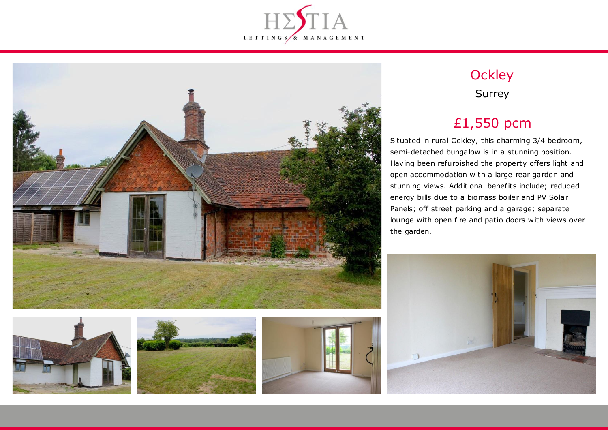









## **Ockley** Surrey

# £1,550 pcm

Situated in rural Ockley, this charming 3/4 bedroom, semi-detached bungalow is in a stunning position. Having been refurbished the property offers light and open accommodation with a large rear garden and stunning views. Additional benefits include; reduced energy bills due to a biomass boiler and PV Solar Panels; off street parking and a garage; separate lounge with open fire and patio doors with views over the garden.

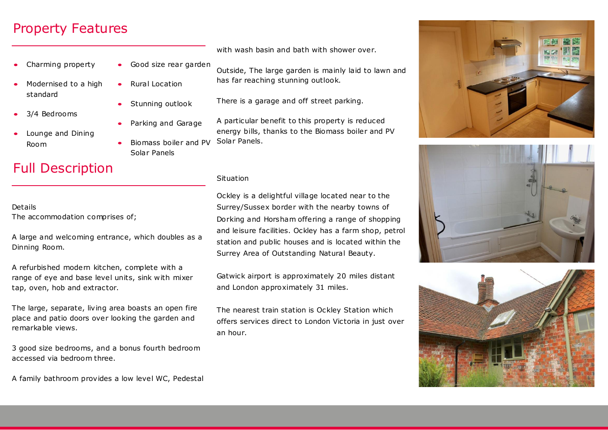### Property Features

- Charming property
- Modernised to a high standard
- 3/4 Bedrooms
- Lounge and Dining Room

# **Full Description**

Details The accommodation comprises of;

A large and welcoming entrance, which doubles as a Dinning Room.

A refurbished modern kitchen, complete with a range of eye and base level units, sink with mixer tap, oven, hob and extractor.

The large, separate, living area boasts an open fire place and patio doors over looking the garden and remarkable views.

3 good size bedrooms, and a bonus fourth bedroom accessed via bedroom three.

- Good size rear garden Outside, The large garden is mainly laid to lawn and
	- Rural Location
	- Stunning outlook
	- Parking and Garage
	- Biomass boiler and PV Solar Panels

#### Situation

Solar Panels.

Ockley is a delightful village located near to the Surrey/Sussex border with the nearby towns of Dorking and Horsham offering a range of shopping and leisure facilities. Ockley has a farm shop, petrol station and public houses and is located within the Surrey Area of Outstanding Natural Beauty.

with wash basin and bath with shower over.

has far reaching stunning outlook.

There is a garage and off street parking.

A particular benefit to this property is reduced energy bills, thanks to the Biomass boiler and PV

Gatwick airport is approximately 20 miles distant and London approximately 31 miles.

The nearest train station is Ockley Station which offers services direct to London Victoria in just over an hour.







A family bathroom provides a low level WC, Pedestal